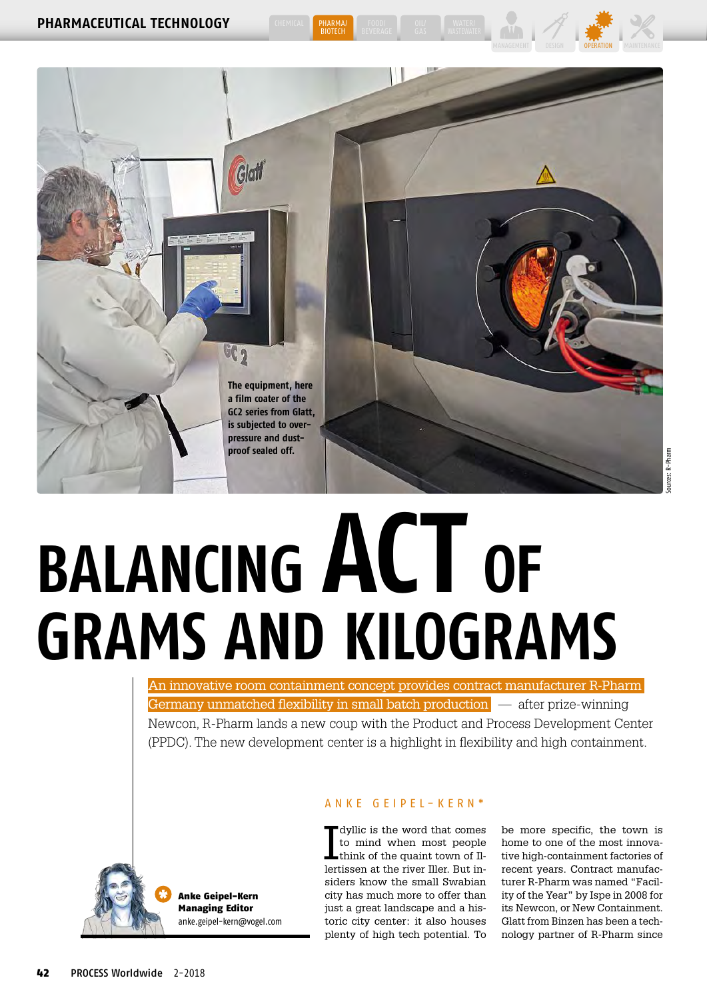



**BIOTECH** 

# **BALANCING ACT OF GRAMS AND KILOGRAMS**

An innovative room containment concept provides contract manufacturer R-Pharm Germany unmatched flexibility in small batch production  $\overline{\phantom{a}}$  after prize-winning Newcon, R-Pharm lands a new coup with the Product and Process Development Center (PPDC). The new development center is a highlight in flexibility and high containment.



Anke Geipel-Kern Managing Editor [anke.geipel-kern@vogel.com](mailto:anke.geipel-kern@vogel.com)

## ANKE GEIPEL-KERN<sup>\*</sup>

I dyllic is the word that comes to mind when most people think of the quaint town of Illertissen at the river Iller. But insiders know the small Swabian city has much more to offer than just a great landscape and a historic city center: it also houses plenty of high tech potential. To

be more specific, the town is home to one of the most innovative high-containment factories of recent years. Contract manufacturer R-Pharm was named "Facility of the Year" by Ispe in 2008 for its Newcon, or New Containment. Glatt from Binzen has been a technology partner of R-Pharm since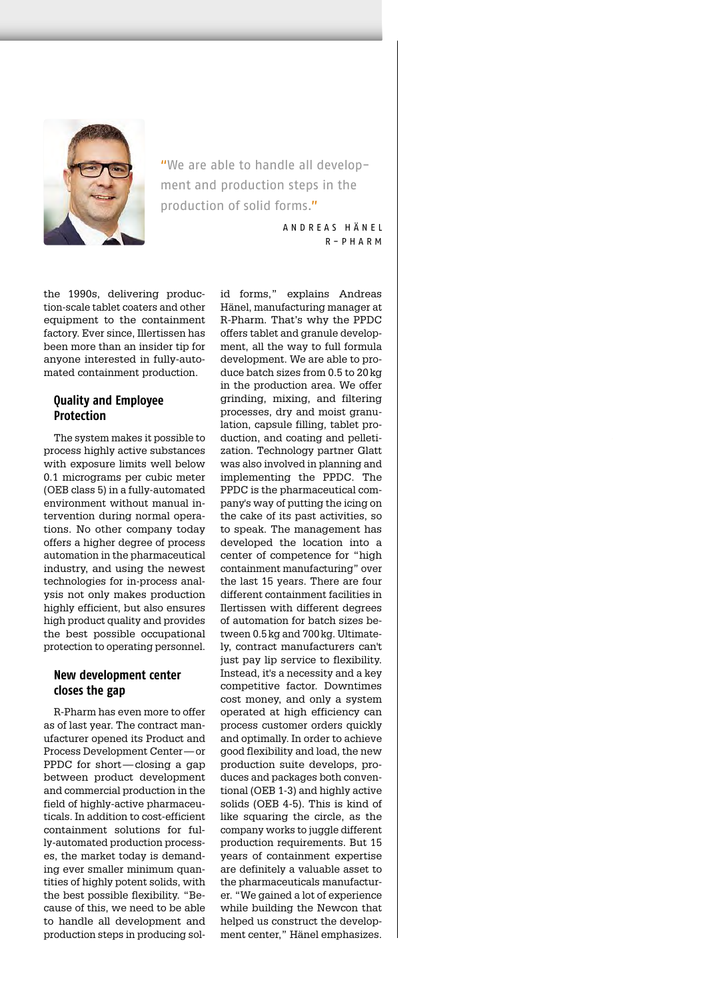

"We are able to handle all development and production steps in the production of solid forms."

> ANDREAS HÄNEL R - PHARM

the 1990s, delivering production-scale tablet coaters and other equipment to the containment factory. Ever since, Illertissen has been more than an insider tip for anyone interested in fully-automated containment production.

## **Quality and Employee Protection**

The system makes it possible to process highly active substances with exposure limits well below 0.1 micrograms per cubic meter (OEB class 5) in a fully-automated environment without manual intervention during normal operations. No other company today offers a higher degree of process automation in the pharmaceutical industry, and using the newest technologies for in-process analysis not only makes production highly efficient, but also ensures high product quality and provides the best possible occupational protection to operating personnel.

# **New development center closes the gap**

R-Pharm has even more to offer as of last year. The contract manufacturer opened its Product and Process Development Center— or PPDC for short—closing a gap between product development and commercial production in the field of highly-active pharmaceuticals. In addition to cost-efficient containment solutions for fully-automated production processes, the market today is demanding ever smaller minimum quantities of highly potent solids, with the best possible flexibility. "Because of this, we need to be able to handle all development and production steps in producing solid forms," explains Andreas Hänel, manufacturing manager at R-Pharm. That's why the PPDC offers tablet and granule development, all the way to full formula development. We are able to produce batch sizes from 0.5 to 20 kg in the production area. We offer grinding, mixing, and filtering processes, dry and moist granulation, capsule filling, tablet production, and coating and pelletization. Technology partner Glatt was also involved in planning and implementing the PPDC. The PPDC is the pharmaceutical company's way of putting the icing on the cake of its past activities, so to speak. The management has developed the location into a center of competence for "high containment manufacturing" over the last 15 years. There are four different containment facilities in Ilertissen with different degrees of automation for batch sizes between 0.5 kg and 700 kg. Ultimately, contract manufacturers can't just pay lip service to flexibility. Instead, it's a necessity and a key competitive factor. Downtimes cost money, and only a system operated at high efficiency can process customer orders quickly and optimally. In order to achieve good flexibility and load, the new production suite develops, produces and packages both conventional (OEB 1-3) and highly active solids (OEB 4-5). This is kind of like squaring the circle, as the company works to juggle different production requirements. But 15 years of containment expertise are definitely a valuable asset to the pharmaceuticals manufacturer. "We gained a lot of experience while building the Newcon that helped us construct the development center," Hänel emphasizes.